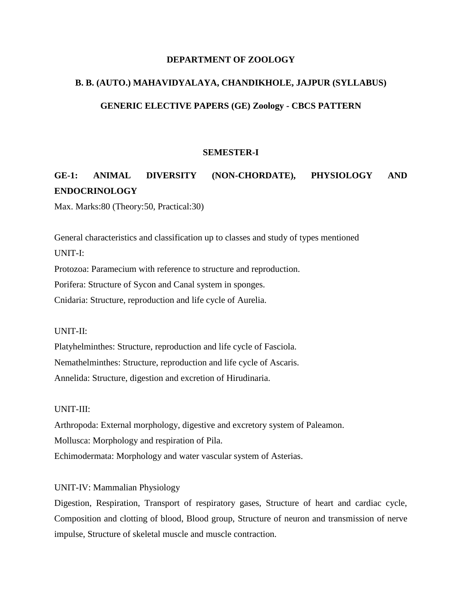# **DEPARTMENT OF ZOOLOGY**

# **B. B. (AUTO.) MAHAVIDYALAYA, CHANDIKHOLE, JAJPUR (SYLLABUS)**

## **GENERIC ELECTIVE PAPERS (GE) Zoology - CBCS PATTERN**

### **SEMESTER-I**

# **GE-1: ANIMAL DIVERSITY (NON-CHORDATE), PHYSIOLOGY AND ENDOCRINOLOGY**

Max. Marks:80 (Theory:50, Practical:30)

General characteristics and classification up to classes and study of types mentioned UNIT-I:

Protozoa: Paramecium with reference to structure and reproduction.

Porifera: Structure of Sycon and Canal system in sponges.

Cnidaria: Structure, reproduction and life cycle of Aurelia.

### UNIT-II:

Platyhelminthes: Structure, reproduction and life cycle of Fasciola. Nemathelminthes: Structure, reproduction and life cycle of Ascaris. Annelida: Structure, digestion and excretion of Hirudinaria.

#### UNIT-III:

Arthropoda: External morphology, digestive and excretory system of Paleamon. Mollusca: Morphology and respiration of Pila. Echimodermata: Morphology and water vascular system of Asterias.

## UNIT-IV: Mammalian Physiology

Digestion, Respiration, Transport of respiratory gases, Structure of heart and cardiac cycle, Composition and clotting of blood, Blood group, Structure of neuron and transmission of nerve impulse, Structure of skeletal muscle and muscle contraction.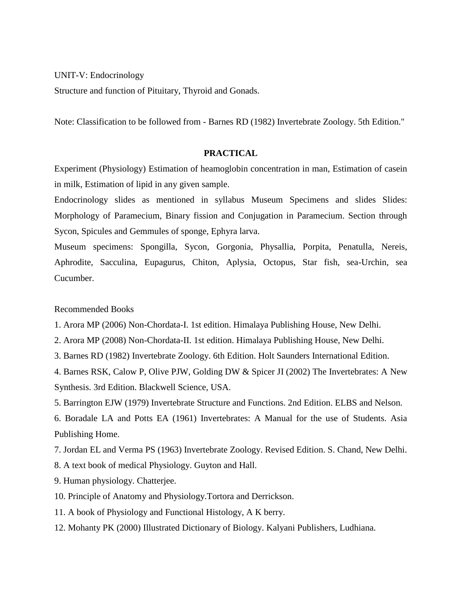UNIT-V: Endocrinology

Structure and function of Pituitary, Thyroid and Gonads.

Note: Classification to be followed from - Barnes RD (1982) Invertebrate Zoology. 5th Edition."

### **PRACTICAL**

Experiment (Physiology) Estimation of heamoglobin concentration in man, Estimation of casein in milk, Estimation of lipid in any given sample.

Endocrinology slides as mentioned in syllabus Museum Specimens and slides Slides: Morphology of Paramecium, Binary fission and Conjugation in Paramecium. Section through Sycon, Spicules and Gemmules of sponge, Ephyra larva.

Museum specimens: Spongilla, Sycon, Gorgonia, Physallia, Porpita, Penatulla, Nereis, Aphrodite, Sacculina, Eupagurus, Chiton, Aplysia, Octopus, Star fish, sea-Urchin, sea Cucumber.

Recommended Books

- 1. Arora MP (2006) Non-Chordata-I. 1st edition. Himalaya Publishing House, New Delhi.
- 2. Arora MP (2008) Non-Chordata-II. 1st edition. Himalaya Publishing House, New Delhi.
- 3. Barnes RD (1982) Invertebrate Zoology. 6th Edition. Holt Saunders International Edition.
- 4. Barnes RSK, Calow P, Olive PJW, Golding DW & Spicer JI (2002) The Invertebrates: A New Synthesis. 3rd Edition. Blackwell Science, USA.
- 5. Barrington EJW (1979) Invertebrate Structure and Functions. 2nd Edition. ELBS and Nelson.

6. Boradale LA and Potts EA (1961) Invertebrates: A Manual for the use of Students. Asia Publishing Home.

7. Jordan EL and Verma PS (1963) Invertebrate Zoology. Revised Edition. S. Chand, New Delhi.

- 8. A text book of medical Physiology. Guyton and Hall.
- 9. Human physiology. Chatterjee.
- 10. Principle of Anatomy and Physiology.Tortora and Derrickson.
- 11. A book of Physiology and Functional Histology, A K berry.
- 12. Mohanty PK (2000) Illustrated Dictionary of Biology. Kalyani Publishers, Ludhiana.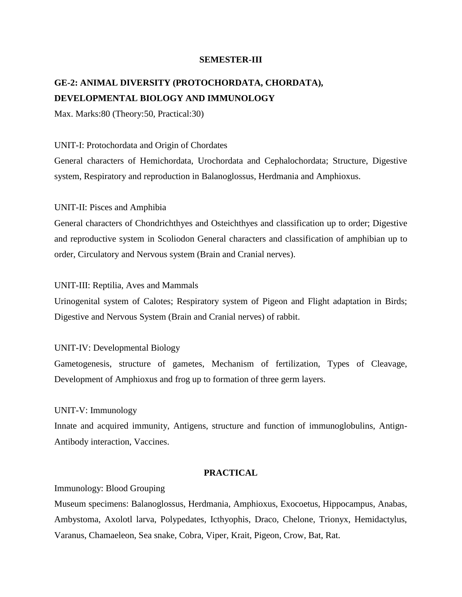### **SEMESTER-III**

# **GE-2: ANIMAL DIVERSITY (PROTOCHORDATA, CHORDATA), DEVELOPMENTAL BIOLOGY AND IMMUNOLOGY**

Max. Marks:80 (Theory:50, Practical:30)

## UNIT-I: Protochordata and Origin of Chordates

General characters of Hemichordata, Urochordata and Cephalochordata; Structure, Digestive system, Respiratory and reproduction in Balanoglossus, Herdmania and Amphioxus.

# UNIT-II: Pisces and Amphibia

General characters of Chondrichthyes and Osteichthyes and classification up to order; Digestive and reproductive system in Scoliodon General characters and classification of amphibian up to order, Circulatory and Nervous system (Brain and Cranial nerves).

### UNIT-III: Reptilia, Aves and Mammals

Urinogenital system of Calotes; Respiratory system of Pigeon and Flight adaptation in Birds; Digestive and Nervous System (Brain and Cranial nerves) of rabbit.

# UNIT-IV: Developmental Biology

Gametogenesis, structure of gametes, Mechanism of fertilization, Types of Cleavage, Development of Amphioxus and frog up to formation of three germ layers.

### UNIT-V: Immunology

Innate and acquired immunity, Antigens, structure and function of immunoglobulins, Antign-Antibody interaction, Vaccines.

## **PRACTICAL**

### Immunology: Blood Grouping

Museum specimens: Balanoglossus, Herdmania, Amphioxus, Exocoetus, Hippocampus, Anabas, Ambystoma, Axolotl larva, Polypedates, Icthyophis, Draco, Chelone, Trionyx, Hemidactylus, Varanus, Chamaeleon, Sea snake, Cobra, Viper, Krait, Pigeon, Crow, Bat, Rat.